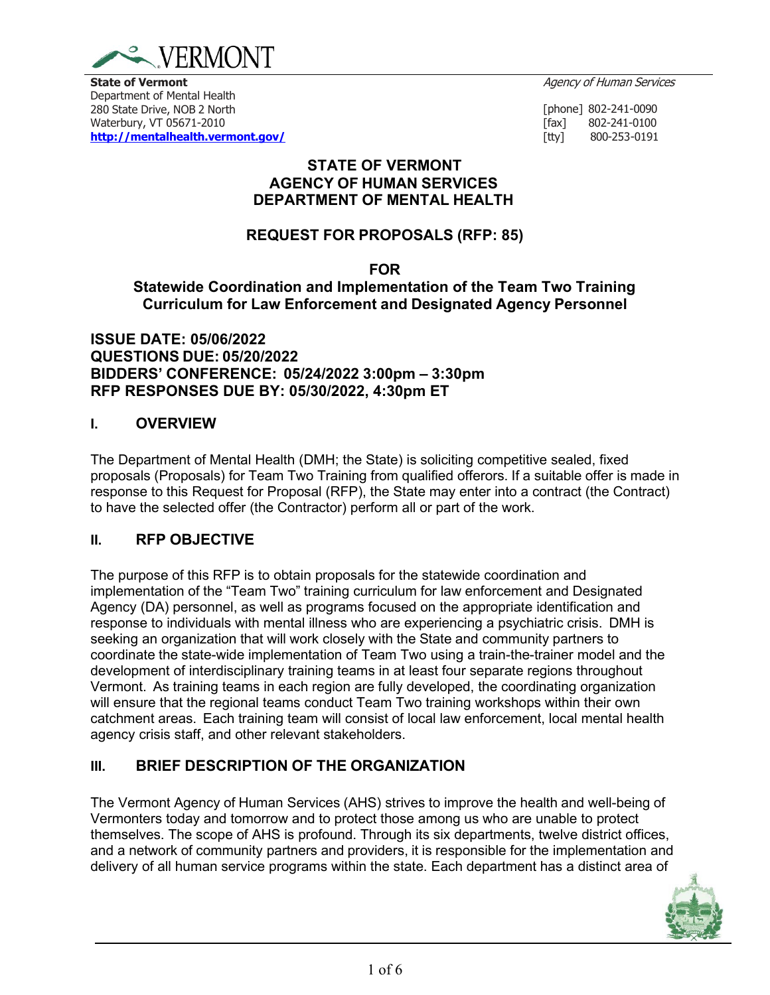

Department of Mental Health 280 State Drive, NOB 2 North Waterbury, VT 05671-2010 **<http://mentalhealth.vermont.gov/>**

[phone] 802-241-0090<br>[fax] 802-241-0100 [fax] 802-241-0100<br>[tty] 800-253-0191 [tty] 800-253-0191

## **STATE OF VERMONT AGENCY OF HUMAN SERVICES DEPARTMENT OF MENTAL HEALTH**

# **REQUEST FOR PROPOSALS (RFP: 85)**

### **FOR**

**Statewide Coordination and Implementation of the Team Two Training Curriculum for Law Enforcement and Designated Agency Personnel**

**ISSUE DATE: 05/06/2022 QUESTIONS DUE: 05/20/2022 BIDDERS' CONFERENCE: 05/24/2022 3:00pm – 3:30pm RFP RESPONSES DUE BY: 05/30/2022, 4:30pm ET**

## **I. OVERVIEW**

The Department of Mental Health (DMH; the State) is soliciting competitive sealed, fixed proposals (Proposals) for Team Two Training from qualified offerors. If a suitable offer is made in response to this Request for Proposal (RFP), the State may enter into a contract (the Contract) to have the selected offer (the Contractor) perform all or part of the work.

## **II. RFP OBJECTIVE**

The purpose of this RFP is to obtain proposals for the statewide coordination and implementation of the "Team Two" training curriculum for law enforcement and Designated Agency (DA) personnel, as well as programs focused on the appropriate identification and response to individuals with mental illness who are experiencing a psychiatric crisis. DMH is seeking an organization that will work closely with the State and community partners to coordinate the state-wide implementation of Team Two using a train-the-trainer model and the development of interdisciplinary training teams in at least four separate regions throughout Vermont. As training teams in each region are fully developed, the coordinating organization will ensure that the regional teams conduct Team Two training workshops within their own catchment areas. Each training team will consist of local law enforcement, local mental health agency crisis staff, and other relevant stakeholders.

## **III. BRIEF DESCRIPTION OF THE ORGANIZATION**

The Vermont Agency of Human Services (AHS) strives to improve the health and well-being of Vermonters today and tomorrow and to protect those among us who are unable to protect themselves. The scope of AHS is profound. Through its six departments, twelve district offices, and a network of community partners and providers, it is responsible for the implementation and delivery of all human service programs within the state. Each department has a distinct area of

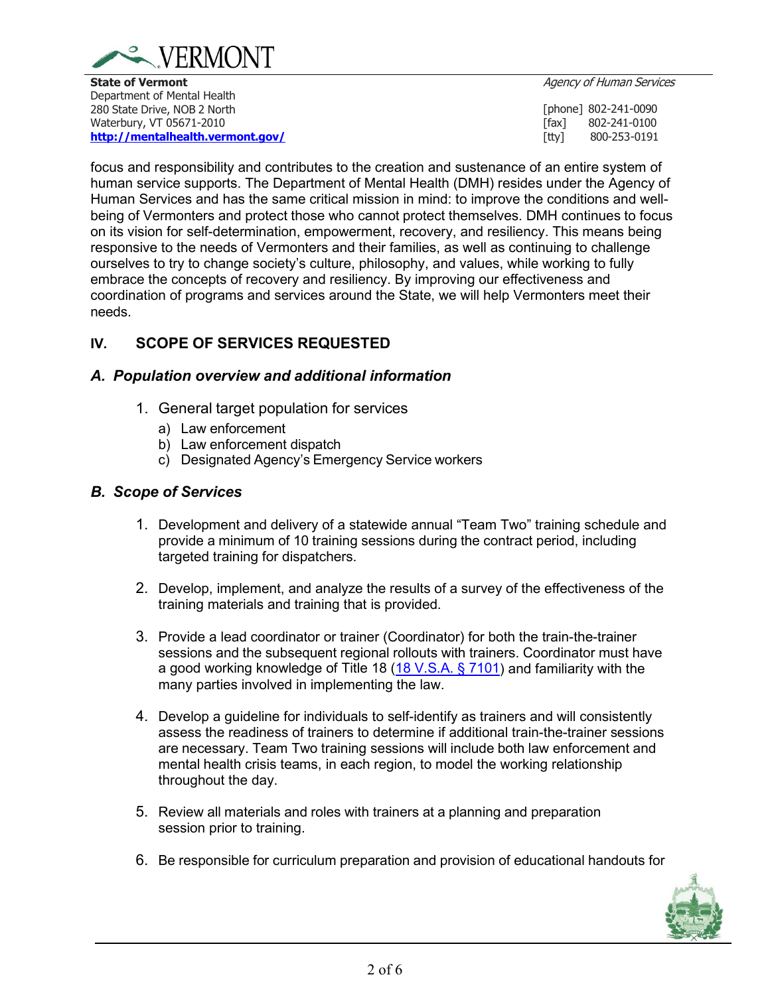

**State of Vermont Agency of Human Services Agency of Human Services** Department of Mental Health 280 State Drive, NOB 2 North Waterbury, VT 05671-2010 **<http://mentalhealth.vermont.gov/>**

[phone] 802-241-0090<br>[fax] 802-241-0100 [fax] 802-241-0100<br>[tty] 800-253-0191 [tty] 800-253-0191

focus and responsibility and contributes to the creation and sustenance of an entire system of human service supports. The Department of Mental Health (DMH) resides under the Agency of Human Services and has the same critical mission in mind: to improve the conditions and wellbeing of Vermonters and protect those who cannot protect themselves. DMH continues to focus on its vision for self-determination, empowerment, recovery, and resiliency. This means being responsive to the needs of Vermonters and their families, as well as continuing to challenge ourselves to try to change society's culture, philosophy, and values, while working to fully embrace the concepts of recovery and resiliency. By improving our effectiveness and coordination of programs and services around the State, we will help Vermonters meet their needs.

## **IV. SCOPE OF SERVICES REQUESTED**

### *A. Population overview and additional information*

- 1. General target population for services
	- a) Law enforcement
	- b) Law enforcement dispatch
	- c) Designated Agency's Emergency Service workers

## *B. Scope of Services*

- 1. Development and delivery of a statewide annual "Team Two" training schedule and provide a minimum of 10 training sessions during the contract period, including targeted training for dispatchers.
- 2. Develop, implement, and analyze the results of a survey of the effectiveness of the training materials and training that is provided.
- 3. Provide a lead coordinator or trainer (Coordinator) for both the train-the-trainer sessions and the subsequent regional rollouts with trainers. Coordinator must have a good working knowledge of Title 18 [\(18 V.S.A. § 7101\)](https://legislature.vermont.gov/statutes/section/18/171/07101) and familiarity with the many parties involved in implementing the law.
- 4. Develop a guideline for individuals to self-identify as trainers and will consistently assess the readiness of trainers to determine if additional train-the-trainer sessions are necessary. Team Two training sessions will include both law enforcement and mental health crisis teams, in each region, to model the working relationship throughout the day.
- 5. Review all materials and roles with trainers at a planning and preparation session prior to training.
- 6. Be responsible for curriculum preparation and provision of educational handouts for

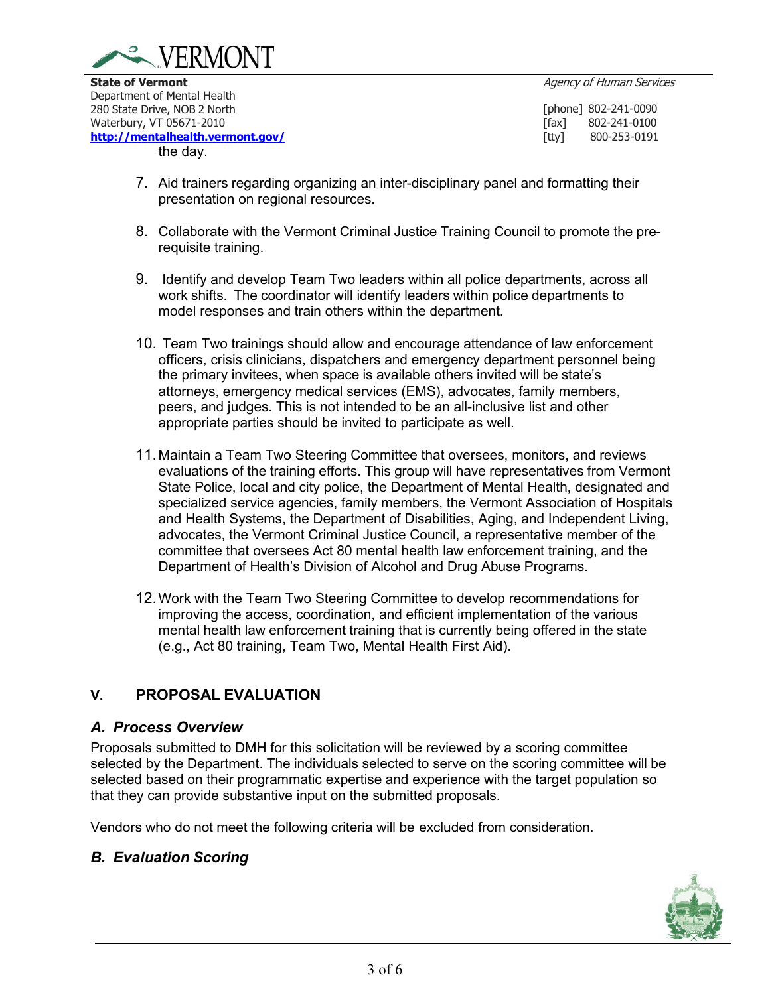

Department of Mental Health 280 State Drive, NOB 2 North Waterbury, VT 05671-2010 **<http://mentalhealth.vermont.gov/>** the day.

[phone] 802-241-0090<br>[fax] 802-241-0100 [fax] 802-241-0100<br>[tty] 800-253-0191 [tty] 800-253-0191

- 7. Aid trainers regarding organizing an inter-disciplinary panel and formatting their presentation on regional resources.
- 8. Collaborate with the Vermont Criminal Justice Training Council to promote the prerequisite training.
- 9. Identify and develop Team Two leaders within all police departments, across all work shifts. The coordinator will identify leaders within police departments to model responses and train others within the department.
- 10. Team Two trainings should allow and encourage attendance of law enforcement officers, crisis clinicians, dispatchers and emergency department personnel being the primary invitees, when space is available others invited will be state's attorneys, emergency medical services (EMS), advocates, family members, peers, and judges. This is not intended to be an all-inclusive list and other appropriate parties should be invited to participate as well.
- 11.Maintain a Team Two Steering Committee that oversees, monitors, and reviews evaluations of the training efforts. This group will have representatives from Vermont State Police, local and city police, the Department of Mental Health, designated and specialized service agencies, family members, the Vermont Association of Hospitals and Health Systems, the Department of Disabilities, Aging, and Independent Living, advocates, the Vermont Criminal Justice Council, a representative member of the committee that oversees Act 80 mental health law enforcement training, and the Department of Health's Division of Alcohol and Drug Abuse Programs.
- 12.Work with the Team Two Steering Committee to develop recommendations for improving the access, coordination, and efficient implementation of the various mental health law enforcement training that is currently being offered in the state (e.g., Act 80 training, Team Two, Mental Health First Aid).

## **V. PROPOSAL EVALUATION**

## *A. Process Overview*

Proposals submitted to DMH for this solicitation will be reviewed by a scoring committee selected by the Department. The individuals selected to serve on the scoring committee will be selected based on their programmatic expertise and experience with the target population so that they can provide substantive input on the submitted proposals.

Vendors who do not meet the following criteria will be excluded from consideration.

## *B. Evaluation Scoring*

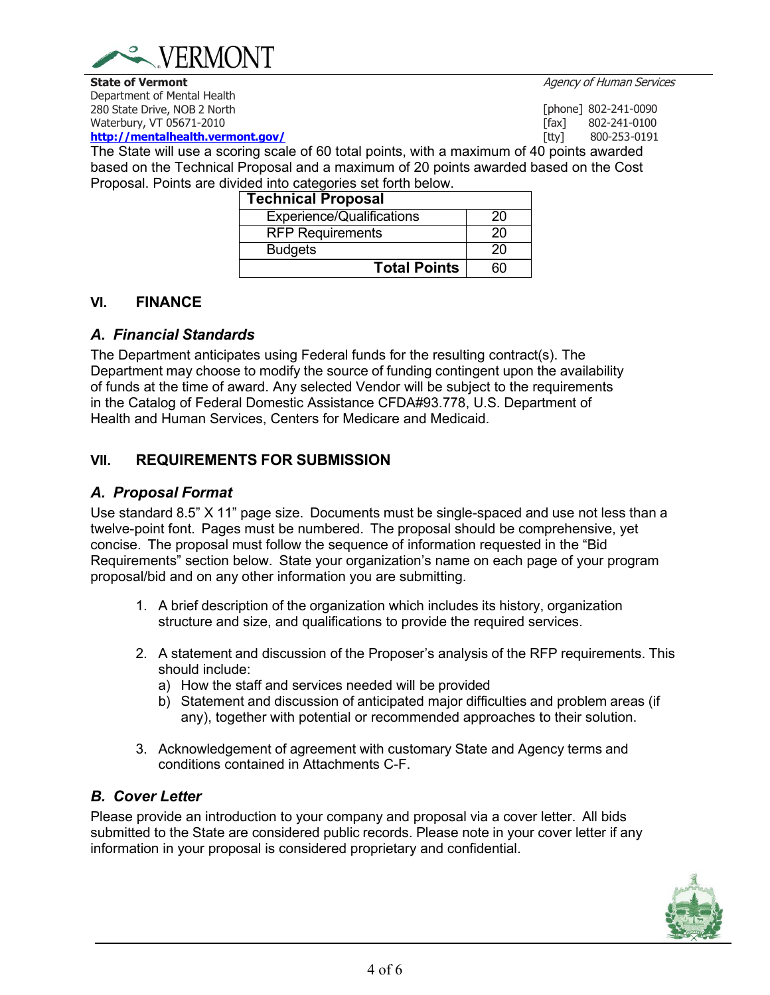

[tty] 800-253-0191

[phone] 802-241-0090<br>[fax] 802-241-0100

Department of Mental Health 280 State Drive, NOB 2 North Waterbury, VT 05671-2010

**<http://mentalhealth.vermont.gov/>**

[fax] 802-241-0100<br>[tty] 800-253-0191 The State will use a scoring scale of 60 total points, with a maximum of 40 points awarded based on the Technical Proposal and a maximum of 20 points awarded based on the Cost Proposal. Points are divided into categories set forth below.

| <b>Technical Proposal</b>        |    |
|----------------------------------|----|
| <b>Experience/Qualifications</b> | 20 |
| <b>RFP Requirements</b>          | 20 |
| <b>Budgets</b>                   | 20 |
| <b>Total Points</b>              |    |

### **VI. FINANCE**

### *A. Financial Standards*

The Department anticipates using Federal funds for the resulting contract(s). The Department may choose to modify the source of funding contingent upon the availability of funds at the time of award. Any selected Vendor will be subject to the requirements in the Catalog of Federal Domestic Assistance CFDA#93.778, U.S. Department of Health and Human Services, Centers for Medicare and Medicaid.

## **VII. REQUIREMENTS FOR SUBMISSION**

### *A. Proposal Format*

Use standard 8.5" X 11" page size. Documents must be single-spaced and use not less than a twelve-point font. Pages must be numbered. The proposal should be comprehensive, yet concise. The proposal must follow the sequence of information requested in the "Bid Requirements" section below. State your organization's name on each page of your program proposal/bid and on any other information you are submitting.

- 1. A brief description of the organization which includes its history, organization structure and size, and qualifications to provide the required services.
- 2. A statement and discussion of the Proposer's analysis of the RFP requirements. This should include:
	- a) How the staff and services needed will be provided
	- b) Statement and discussion of anticipated major difficulties and problem areas (if any), together with potential or recommended approaches to their solution.
- 3. Acknowledgement of agreement with customary State and Agency terms and conditions contained in Attachments C-F.

## *B. Cover Letter*

Please provide an introduction to your company and proposal via a cover letter. All bids submitted to the State are considered public records. Please note in your cover letter if any information in your proposal is considered proprietary and confidential.

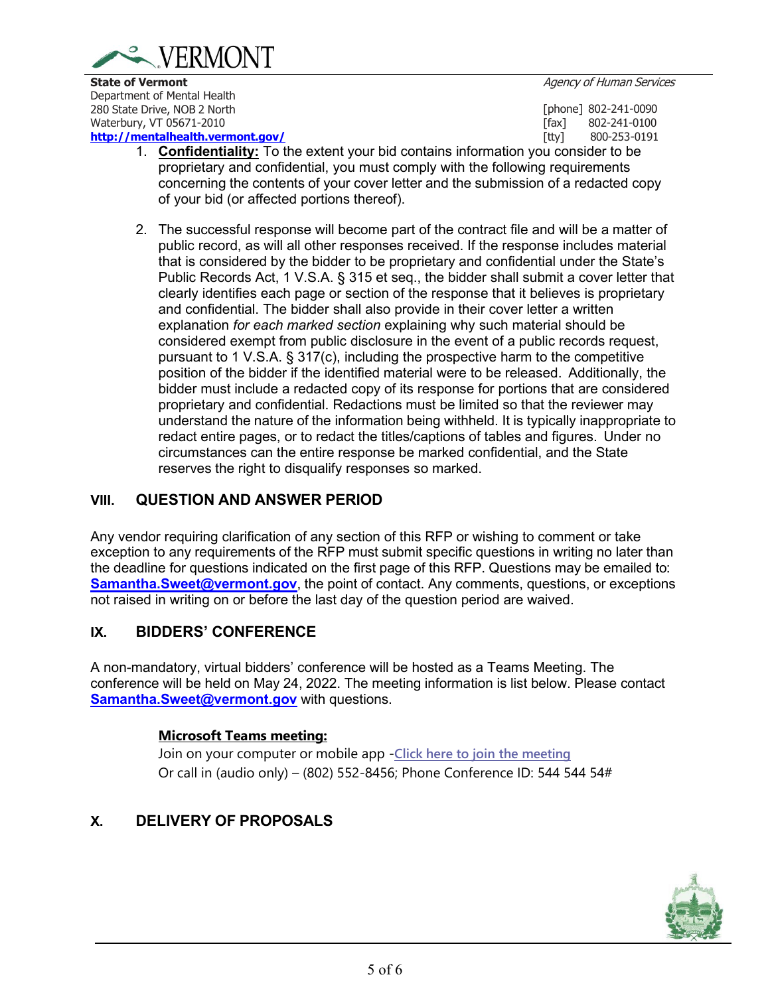

Department of Mental Health 280 State Drive, NOB 2 North Waterbury, VT 05671-2010

#### **<http://mentalhealth.vermont.gov/>**

[phone] 802-241-0090<br>[fax] 802-241-0100 [fax] 802-241-0100<br>[tty] 800-253-0191 [tty] 800-253-0191

- 1. **Confidentiality:** To the extent your bid contains information you consider to be proprietary and confidential, you must comply with the following requirements concerning the contents of your cover letter and the submission of a redacted copy of your bid (or affected portions thereof).
- 2. The successful response will become part of the contract file and will be a matter of public record, as will all other responses received. If the response includes material that is considered by the bidder to be proprietary and confidential under the State's Public Records Act, 1 V.S.A. § 315 et seq., the bidder shall submit a cover letter that clearly identifies each page or section of the response that it believes is proprietary and confidential. The bidder shall also provide in their cover letter a written explanation *for each marked section* explaining why such material should be considered exempt from public disclosure in the event of a public records request, pursuant to 1 V.S.A. § 317(c), including the prospective harm to the competitive position of the bidder if the identified material were to be released. Additionally, the bidder must include a redacted copy of its response for portions that are considered proprietary and confidential. Redactions must be limited so that the reviewer may understand the nature of the information being withheld. It is typically inappropriate to redact entire pages, or to redact the titles/captions of tables and figures. Under no circumstances can the entire response be marked confidential, and the State reserves the right to disqualify responses so marked.

## **VIII. QUESTION AND ANSWER PERIOD**

Any vendor requiring clarification of any section of this RFP or wishing to comment or take exception to any requirements of the RFP must submit specific questions in writing no later than the deadline for questions indicated on the first page of this RFP. Questions may be emailed to: **[Samantha.Sweet@vermont.gov](mailto:Samantha.Sweet@vermont.gov?subject=RFP%2085)**, the point of contact. Any comments, questions, or exceptions not raised in writing on or before the last day of the question period are waived.

## **IX. BIDDERS' CONFERENCE**

A non-mandatory, virtual bidders' conference will be hosted as a Teams Meeting. The conference will be held on May 24, 2022. The meeting information is list below. Please contact **[Samantha.Sweet@vermont.gov](mailto:Samantha.Sweet@vermont.gov?subject=RFP%2085)** with questions.

## **Microsoft Teams meeting:**

Join on your computer or mobile app -**[Click here](https://teams.microsoft.com/l/meetup-join/19%3ameeting_MzRjZTdiZjYtMTUzNy00OTIwLWE2MTktOThkYzZmYjJkN2Uw%40thread.v2/0?context=%7b%22Tid%22%3a%2220b4933b-baad-433c-9c02-70edcc7559c6%22%2c%22Oid%22%3a%22f8f01e22-34bd-4080-a04b-cca5526d317a%22%7d) to join the meeting** Or call in (audio only) – (802) 552-8456; Phone Conference ID: 544 544 54#

## **X. DELIVERY OF PROPOSALS**